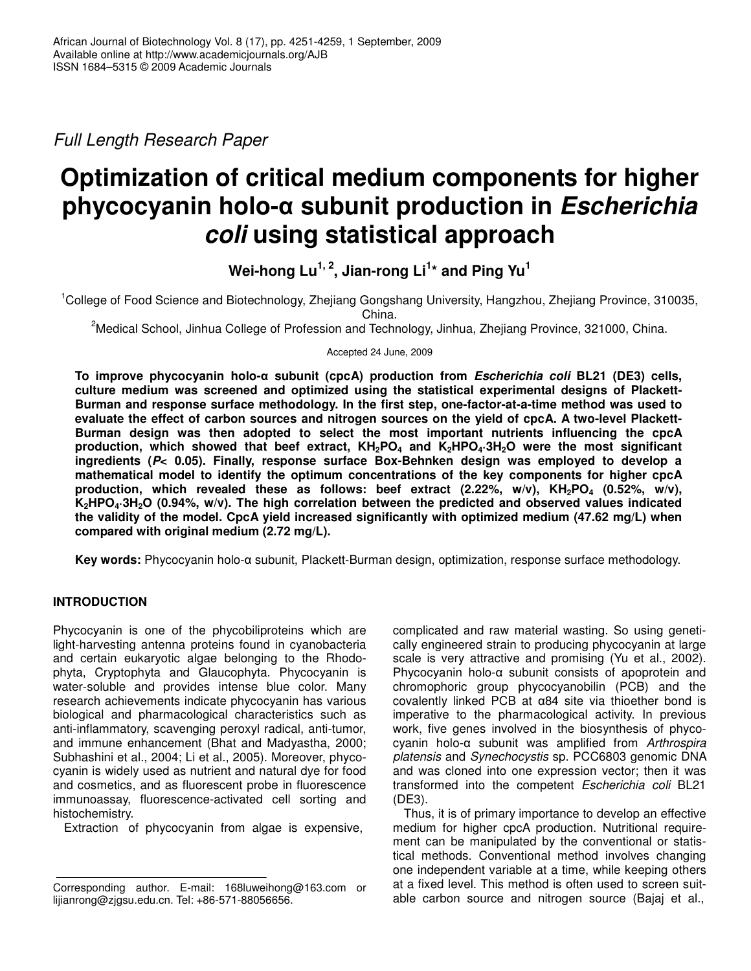*Full Length Research Paper*

# **Optimization of critical medium components for higher phycocyanin holo- subunit production in** *Escherichia coli* **using statistical approach**

**Wei-hong Lu 1, 2 , Jian-rong Li 1 \* and Ping Yu 1**

<sup>1</sup>College of Food Science and Biotechnology, Zhejiang Gongshang University, Hangzhou, Zhejiang Province, 310035, China.

<sup>2</sup>Medical School, Jinhua College of Profession and Technology, Jinhua, Zhejiang Province, 321000, China.

Accepted 24 June, 2009

**To improve phycocyanin holo- subunit (cpcA) production from** *Escherichia coli* **BL21 (DE3) cells, culture medium was screened and optimized using the statistical experimental designs of Plackett-Burman and response surface methodology. In the first step, one-factor-at-a-time method was used to evaluate the effect of carbon sources and nitrogen sources on the yield of cpcA. A two-level Plackett-Burman design was then adopted to select the most important nutrients influencing the cpcA** production, which showed that beef extract,  $KH_2PO_4$  and  $K_2HPO_4 \cdot 3H_2O$  were the most significant **ingredients (***P***< 0.05). Finally, response surface Box-Behnken design was employed to develop a mathematical model to identify the optimum concentrations of the key components for higher cpcA production, which revealed these as follows: beef extract (2.22%, w/v), KH2PO<sup>4</sup> (0.52%, w/v),**  $K_2HPO_4.3H_2O$  (0.94%, w/v). The high correlation between the predicted and observed values indicated **the validity of the model. CpcA yield increased significantly with optimized medium (47.62 mg/L) when compared with original medium (2.72 mg/L).**

Key words: Phycocyanin holo-a subunit, Plackett-Burman design, optimization, response surface methodology.

# **INTRODUCTION**

Phycocyanin is one of the phycobiliproteins which are light-harvesting antenna proteins found in cyanobacteria and certain eukaryotic algae belonging to the Rhodophyta, Cryptophyta and Glaucophyta. Phycocyanin is water-soluble and provides intense blue color. Many research achievements indicate phycocyanin has various biological and pharmacological characteristics such as anti-inflammatory, scavenging peroxyl radical, anti-tumor, and immune enhancement (Bhat and Madyastha, 2000; Subhashini et al., 2004; Li et al., 2005). Moreover, phycocyanin is widely used as nutrient and natural dye for food and cosmetics, and as fluorescent probe in fluorescence immunoassay, fluorescence-activated cell sorting and histochemistry.

Extraction of phycocyanin from algae is expensive,

complicated and raw material wasting. So using genetically engineered strain to producing phycocyanin at large scale is very attractive and promising (Yu et al., 2002). Phycocyanin holo- $\alpha$  subunit consists of apoprotein and chromophoric group phycocyanobilin (PCB) and the covalently linked PCB at  $\alpha$ 84 site via thioether bond is imperative to the pharmacological activity. In previous work, five genes involved in the biosynthesis of phycocyanin holo-a subunit was amplified from Arthrospira *platensis* and *Synechocystis* sp. PCC6803 genomic DNA and was cloned into one expression vector; then it was transformed into the competent *Escherichia coli* BL21 (DE3).

Thus, it is of primary importance to develop an effective medium for higher cpcA production. Nutritional requirement can be manipulated by the conventional or statistical methods. Conventional method involves changing one independent variable at a time, while keeping others at a fixed level. This method is often used to screen suitable carbon source and nitrogen source (Bajaj et al.,

Corresponding author. E-mail: 168luweihong@163.com or lijianrong@zjgsu.edu.cn. Tel: +86-571-88056656.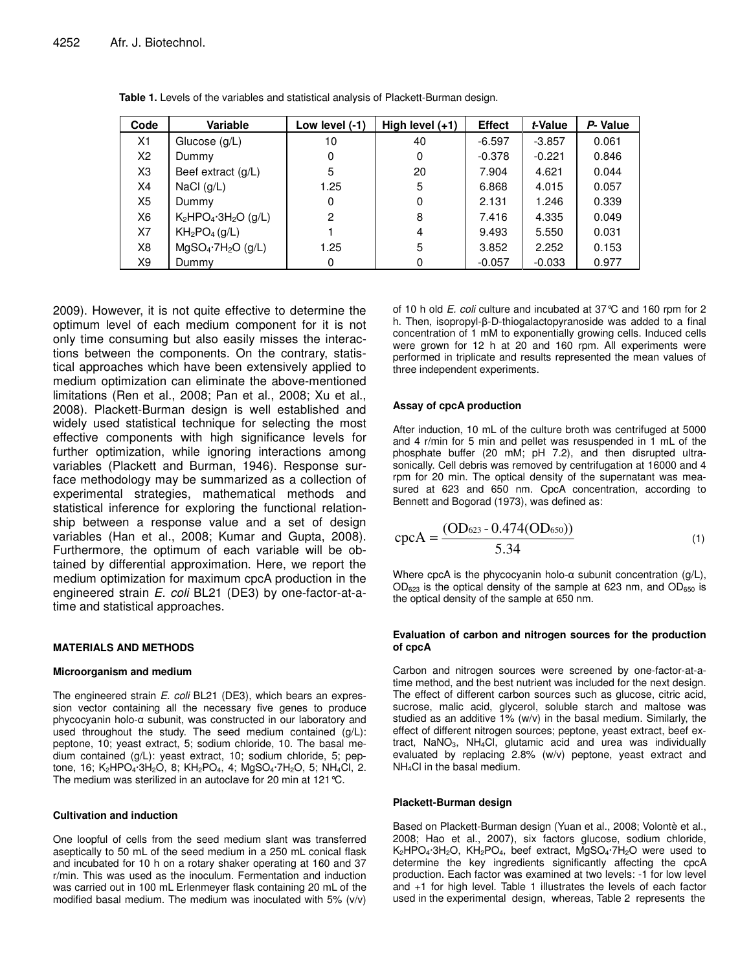| Code           | Variable                              | Low level (-1) | High level $(+1)$ | <b>Effect</b> | t-Value  | P- Value |
|----------------|---------------------------------------|----------------|-------------------|---------------|----------|----------|
| X1             | Glucose $(g/L)$                       | 10             | 40                | $-6.597$      | $-3.857$ | 0.061    |
| X2             | Dummy                                 | 0              | 0                 | $-0.378$      | $-0.221$ | 0.846    |
| X3             | Beef extract (g/L)                    | 5              | 20                | 7.904         | 4.621    | 0.044    |
| X4             | NaCl $(g/L)$                          | 1.25           | 5                 | 6.868         | 4.015    | 0.057    |
| X <sub>5</sub> | Dummy                                 | 0              | $\Omega$          | 2.131         | 1.246    | 0.339    |
| X6             | $K_2HPO_4 \cdot 3H_2O$ (g/L)          | $\overline{c}$ | 8                 | 7.416         | 4.335    | 0.049    |
| X7             | KH <sub>2</sub> PO <sub>4</sub> (g/L) |                | 4                 | 9.493         | 5.550    | 0.031    |
| X8             | $MgSO_4 \cdot 7H_2O$ (g/L)            | 1.25           | 5                 | 3.852         | 2.252    | 0.153    |
| X9             | Dummy                                 | 0              |                   | $-0.057$      | $-0.033$ | 0.977    |

**Table 1.** Levels of the variables and statistical analysis of Plackett-Burman design.

2009). However, it is not quite effective to determine the optimum level of each medium component for it is not only time consuming but also easily misses the interactions between the components. On the contrary, statistical approaches which have been extensively applied to medium optimization can eliminate the above-mentioned limitations (Ren et al., 2008; Pan et al., 2008; Xu et al., 2008). Plackett-Burman design is well established and widely used statistical technique for selecting the most effective components with high significance levels for further optimization, while ignoring interactions among variables (Plackett and Burman, 1946). Response surface methodology may be summarized as a collection of experimental strategies, mathematical methods and statistical inference for exploring the functional relationship between a response value and a set of design variables (Han et al., 2008; Kumar and Gupta, 2008). Furthermore, the optimum of each variable will be obtained by differential approximation. Here, we report the medium optimization for maximum cpcA production in the engineered strain *E. coli* BL21 (DE3) by one-factor-at-atime and statistical approaches.

## **MATERIALS AND METHODS**

## **Microorganism and medium**

The engineered strain *E. coli* BL21 (DE3), which bears an expression vector containing all the necessary five genes to produce  $p$ hycocyanin holo- $\alpha$  subunit, was constructed in our laboratory and used throughout the study. The seed medium contained (g/L): peptone, 10; yeast extract, 5; sodium chloride, 10. The basal medium contained (g/L): yeast extract, 10; sodium chloride, 5; peptone, 16; K2HPO4·3H2O, 8; KH2PO4, 4; MgSO4·7H2O, 5; NH4Cl, 2. The medium was sterilized in an autoclave for 20 min at 121°C.

## **Cultivation and induction**

One loopful of cells from the seed medium slant was transferred aseptically to 50 mL of the seed medium in a 250 mL conical flask and incubated for 10 h on a rotary shaker operating at 160 and 37 r/min. This was used as the inoculum. Fermentation and induction was carried out in 100 mL Erlenmeyer flask containing 20 mL of the modified basal medium. The medium was inoculated with 5% (v/v) of 10 h old *E. coli* culture and incubated at 37°C and 160 rpm for 2 h. Then, isopropyl-β-D-thiogalactopyranoside was added to a final concentration of 1 mM to exponentially growing cells. Induced cells were grown for 12 h at 20 and 160 rpm. All experiments were performed in triplicate and results represented the mean values of three independent experiments.

## **Assay of cpcA production**

After induction, 10 mL of the culture broth was centrifuged at 5000 and 4 r/min for 5 min and pellet was resuspended in 1 mL of the phosphate buffer (20 mM; pH 7.2), and then disrupted ultrasonically. Cell debris was removed by centrifugation at 16000 and 4 rpm for 20 min. The optical density of the supernatant was measured at 623 and 650 nm. CpcA concentration, according to Bennett and Bogorad (1973), was defined as:

$$
cpcA = \frac{(OD_{623} - 0.474(OD_{650}))}{5.34}
$$
 (1)

Where cpcA is the phycocyanin holo- $\alpha$  subunit concentration ( $q/L$ ),  $OD_{623}$  is the optical density of the sample at 623 nm, and  $OD_{650}$  is the optical density of the sample at 650 nm.

## **Evaluation of carbon and nitrogen sources for the production of cpcA**

Carbon and nitrogen sources were screened by one-factor-at-atime method, and the best nutrient was included for the next design. The effect of different carbon sources such as glucose, citric acid, sucrose, malic acid, glycerol, soluble starch and maltose was studied as an additive 1% (w/v) in the basal medium. Similarly, the effect of different nitrogen sources; peptone, yeast extract, beef extract,  $NaNO<sub>3</sub>$ ,  $NH<sub>4</sub>Cl$ , glutamic acid and urea was individually evaluated by replacing 2.8% (w/v) peptone, yeast extract and NH4Cl in the basal medium.

## **Plackett-Burman design**

Based on Plackett-Burman design (Yuan et al., 2008; Volontè et al., 2008; Hao et al., 2007), six factors glucose, sodium chloride, K<sub>2</sub>HPO<sub>4</sub>·3H<sub>2</sub>O, KH<sub>2</sub>PO<sub>4</sub>, beef extract, MgSO<sub>4</sub>·7H<sub>2</sub>O were used to determine the key ingredients significantly affecting the cpcA production. Each factor was examined at two levels: -1 for low level and +1 for high level. Table 1 illustrates the levels of each factor used in the experimental design, whereas, Table 2 represents the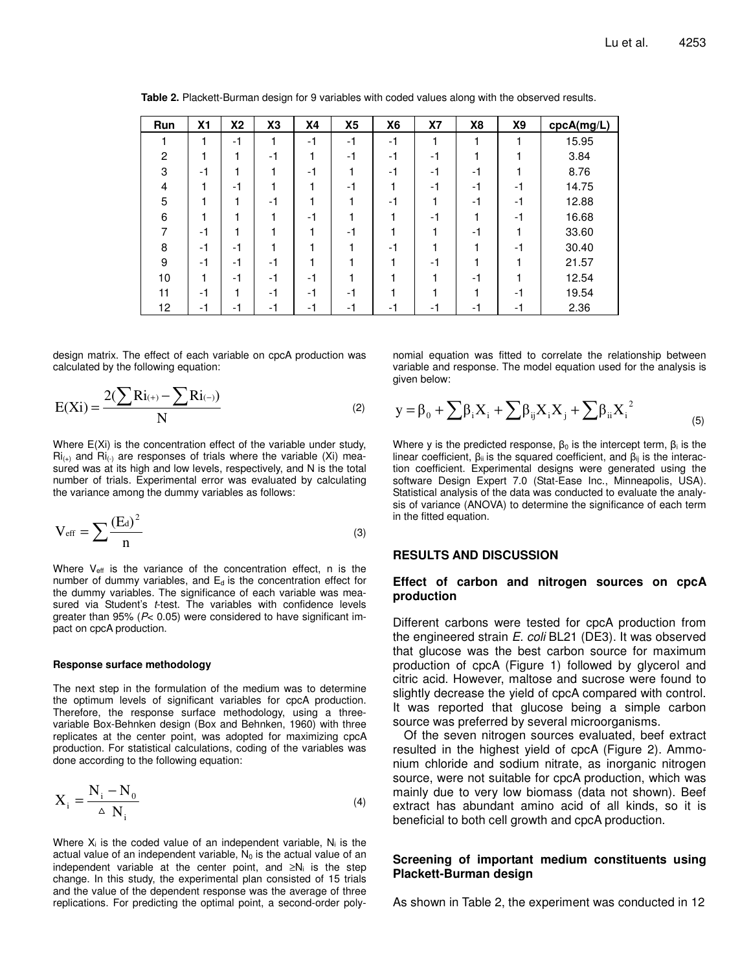| Run            | X <sub>1</sub> | X2   | X3   | <b>X4</b> | X <sub>5</sub> | X <sub>6</sub> | <b>X7</b> | X8   | <b>X9</b> | cpcA(mg/L) |
|----------------|----------------|------|------|-----------|----------------|----------------|-----------|------|-----------|------------|
|                |                | $-1$ | 1    | -1        | $-1$           | -1             |           |      |           | 15.95      |
| $\overline{2}$ |                |      | $-1$ | 4         | -1             | $-1$           | -1        |      |           | 3.84       |
| 3              | -1             |      | 4    | $-1$      |                | -1             | $-1$      | -1   |           | 8.76       |
| 4              |                | $-1$ | 4    | ٠         | -1             |                | -1        | -1   | -1        | 14.75      |
| 5              |                |      | -1   |           |                | $-1$           |           | -1   | -1        | 12.88      |
| 6              |                |      |      | -1        |                |                | -1        |      | -1        | 16.68      |
|                | -1             |      |      |           | -1             |                |           | $-1$ |           | 33.60      |
| 8              | $-1$           | $-1$ |      |           |                | -1             |           |      | -1        | 30.40      |
| 9              | $-1$           | -1   | -1   | ٠         |                |                | -1        |      |           | 21.57      |
| 10             |                | $-1$ | -1   | -1        |                |                |           | $-1$ |           | 12.54      |
| 11             | -1             |      | -1   | -1        | -1             |                |           |      | -1        | 19.54      |
| 12             | -1             | -1   | -1   | -1        | -1             | -1             | -1        | -1   | -1        | 2.36       |

**Table 2.** Plackett-Burman design for 9 variables with coded values along with the observed results.

design matrix. The effect of each variable on cpcA production was calculated by the following equation:

$$
E(Xi) = \frac{2(\sum Ri_{^{(+)}} - \sum Ri_{^{(-)}})}{N}
$$
 (2)

Where E(Xi) is the concentration effect of the variable under study,  $\text{Ri}_{(+)}$  and  $\text{Ri}_{(+)}$  are responses of trials where the variable (Xi) measured was at its high and low levels, respectively, and N is the total number of trials. Experimental error was evaluated by calculating the variance among the dummy variables as follows:

$$
V_{\rm eff} = \sum \frac{(E_d)^2}{n}
$$
 (3)

Where  $V_{\text{eff}}$  is the variance of the concentration effect, n is the number of dummy variables, and  $E_d$  is the concentration effect for the dummy variables. The significance of each variable was measured via Student's *t*-test. The variables with confidence levels greater than 95% (*P*< 0.05) were considered to have significant impact on cpcA production.

#### **Response surface methodology**

The next step in the formulation of the medium was to determine the optimum levels of significant variables for cpcA production. Therefore, the response surface methodology, using a threevariable Box-Behnken design (Box and Behnken, 1960) with three replicates at the center point, was adopted for maximizing cpcA production. For statistical calculations, coding of the variables was done according to the following equation:

$$
X_i = \frac{N_i - N_0}{\Delta N_i}
$$
 (4)

Where  $X_i$  is the coded value of an independent variable,  $N_i$  is the actual value of an independent variable,  $N_0$  is the actual value of an independent variable at the center point, and  $\geq N_i$  is the step change. In this study, the experimental plan consisted of 15 trials and the value of the dependent response was the average of three replications. For predicting the optimal point, a second-order polynomial equation was fitted to correlate the relationship between variable and response. The model equation used for the analysis is given below:

$$
y = \beta_0 + \sum \beta_i X_i + \sum \beta_{ij} X_i X_j + \sum \beta_{ii} X_i^2
$$
 (5)

Where y is the predicted response,  $\beta_0$  is the intercept term,  $\beta_{\mathsf{i}}$  is the linear coefficient,  $\beta_{ii}$  is the squared coefficient, and  $\beta_{ij}$  is the interaction coefficient. Experimental designs were generated using the software Design Expert 7.0 (Stat-Ease Inc., Minneapolis, USA). Statistical analysis of the data was conducted to evaluate the analysis of variance (ANOVA) to determine the significance of each term in the fitted equation.

# **RESULTS AND DISCUSSION**

# **Effect of carbon and nitrogen sources on cpcA production**

Different carbons were tested for cpcA production from the engineered strain *E. coli* BL21 (DE3). It was observed that glucose was the best carbon source for maximum production of cpcA (Figure 1) followed by glycerol and citric acid. However, maltose and sucrose were found to slightly decrease the yield of cpcA compared with control. It was reported that glucose being a simple carbon source was preferred by several microorganisms.

Of the seven nitrogen sources evaluated, beef extract resulted in the highest yield of cpcA (Figure 2). Ammonium chloride and sodium nitrate, as inorganic nitrogen source, were not suitable for cpcA production, which was mainly due to very low biomass (data not shown). Beef extract has abundant amino acid of all kinds, so it is beneficial to both cell growth and cpcA production.

# **Screening of important medium constituents using Plackett-Burman design**

As shown in Table 2, the experiment was conducted in 12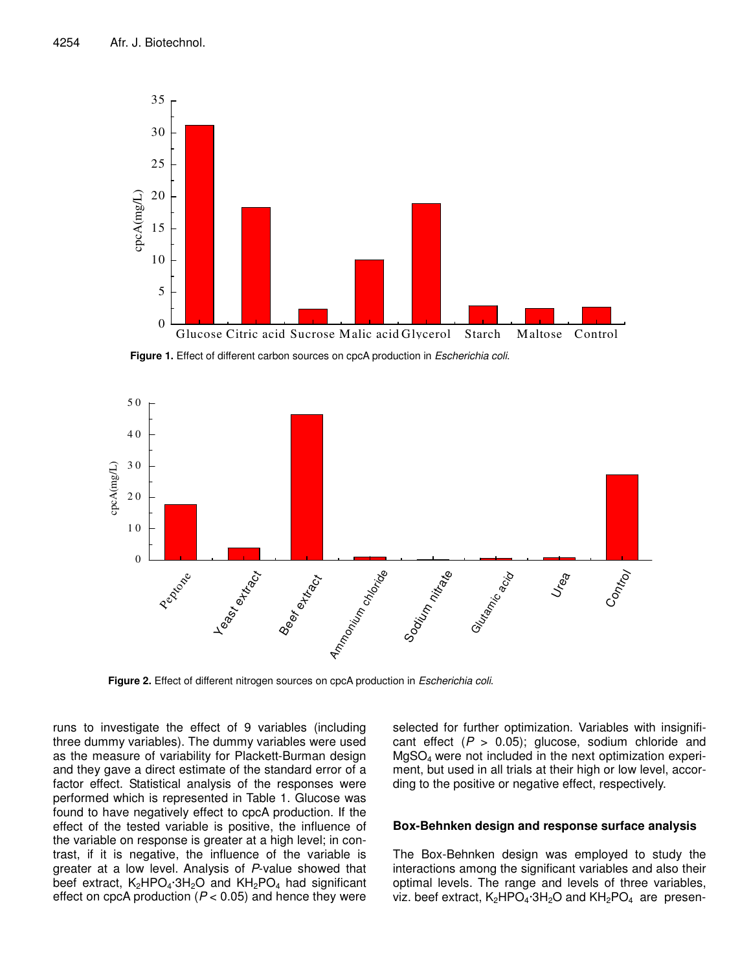

**Figure 1.** Effect of different carbon sources on cpcA production in *Escherichia coli*.



**Figure 2.** Effect of different nitrogen sources on cpcA production in *Escherichia coli*.

runs to investigate the effect of 9 variables (including three dummy variables). The dummy variables were used as the measure of variability for Plackett-Burman design and they gave a direct estimate of the standard error of a factor effect. Statistical analysis of the responses were performed which is represented in Table 1. Glucose was found to have negatively effect to cpcA production. If the effect of the tested variable is positive, the influence of the variable on response is greater at a high level; in contrast, if it is negative, the influence of the variable is greater at a low level. Analysis of *P*-value showed that beef extract,  $K_2HPO_4·3H_2O$  and  $KH_2PO_4$  had significant effect on cpcA production  $(P < 0.05)$  and hence they were

selected for further optimization. Variables with insignificant effect  $(P > 0.05)$ ; glucose, sodium chloride and MgSO<sup>4</sup> were not included in the next optimization experiment, but used in all trials at their high or low level, according to the positive or negative effect, respectively.

# **Box-Behnken design and response surface analysis**

The Box-Behnken design was employed to study the interactions among the significant variables and also their optimal levels. The range and levels of three variables, viz. beef extract,  $K_2HPO_4.3H_2O$  and  $KH_2PO_4$  are presen-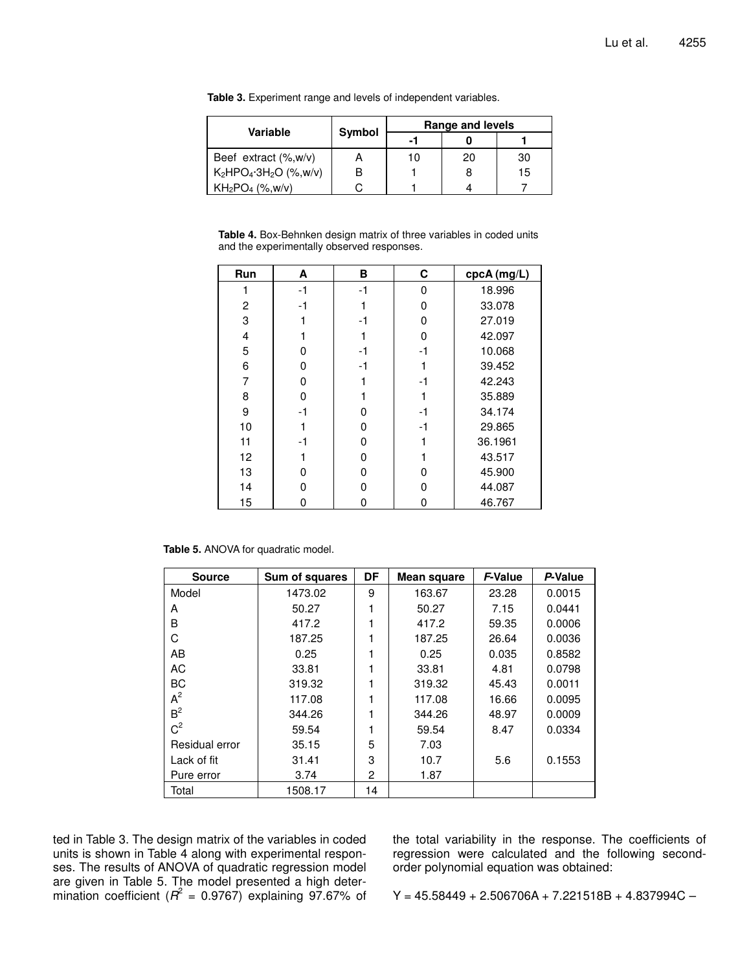| Variable                        |        | Range and levels |    |    |  |
|---------------------------------|--------|------------------|----|----|--|
|                                 | Symbol |                  |    |    |  |
| Beef extract (%,w/v)            |        | 10               | 20 | 30 |  |
| $K_2HPO_4 \cdot 3H_2O$ (%, w/v) |        |                  |    | 15 |  |
| $KH_2PO_4$ (%,w/v)              |        |                  |    |    |  |

**Table 3.** Experiment range and levels of independent variables.

**Table 4.** Box-Behnken design matrix of three variables in coded units and the experimentally observed responses.

| Run            | A    | в    | С    | cpcA (mg/L) |
|----------------|------|------|------|-------------|
|                | $-1$ | $-1$ | 0    | 18.996      |
| 2              | -1   |      | 0    | 33.078      |
| 3              |      | -1   | U    | 27.019      |
| $\overline{4}$ |      |      | 0    | 42.097      |
| 5              | ი    | -1   | $-1$ | 10.068      |
| 6              | 0    | -1   |      | 39.452      |
| 7              | 0    |      | -1   | 42.243      |
| 8              | 0    |      |      | 35.889      |
| 9              | -1   | 0    | -1   | 34.174      |
| 10             |      | U    | -1   | 29.865      |
| 11             | -1   | 0    |      | 36.1961     |
| 12             |      | 0    |      | 43.517      |
| 13             | ი    | ŋ    | 0    | 45.900      |
| 14             | O    | O    | U    | 44.087      |
| 15             | ი    |      | ი    | 46.767      |

**Table 5.** ANOVA for quadratic model.

| <b>Source</b>  | Sum of squares | DF | <b>Mean square</b> | <b>F-Value</b> | P-Value |
|----------------|----------------|----|--------------------|----------------|---------|
| Model          | 1473.02        | 9  | 163.67             | 23.28          | 0.0015  |
| A              | 50.27          |    | 50.27              | 7.15           | 0.0441  |
| B              | 417.2          |    | 417.2              | 59.35          | 0.0006  |
| C              | 187.25         |    | 187.25             | 26.64          | 0.0036  |
| AB             | 0.25           |    | 0.25               | 0.035          | 0.8582  |
| AC             | 33.81          |    | 33.81              | 4.81           | 0.0798  |
| BC             | 319.32         |    | 319.32             | 45.43          | 0.0011  |
| $A^2$          | 117.08         |    | 117.08             | 16.66          | 0.0095  |
| B <sup>2</sup> | 344.26         |    | 344.26             | 48.97          | 0.0009  |
| $C^2$          | 59.54          |    | 59.54              | 8.47           | 0.0334  |
| Residual error | 35.15          | 5  | 7.03               |                |         |
| Lack of fit    | 31.41          | 3  | 10.7               | 5.6            | 0.1553  |
| Pure error     | 3.74           | 2  | 1.87               |                |         |
| Total          | 1508.17        | 14 |                    |                |         |

ted in Table 3. The design matrix of the variables in coded units is shown in Table 4 along with experimental responses. The results of ANOVA of quadratic regression model are given in Table 5. The model presented a high determination coefficient ( $R^2$  = 0.9767) explaining 97.67% of

the total variability in the response. The coefficients of regression were calculated and the following secondorder polynomial equation was obtained:

 $Y = 45.58449 + 2.506706A + 7.221518B + 4.837994C -$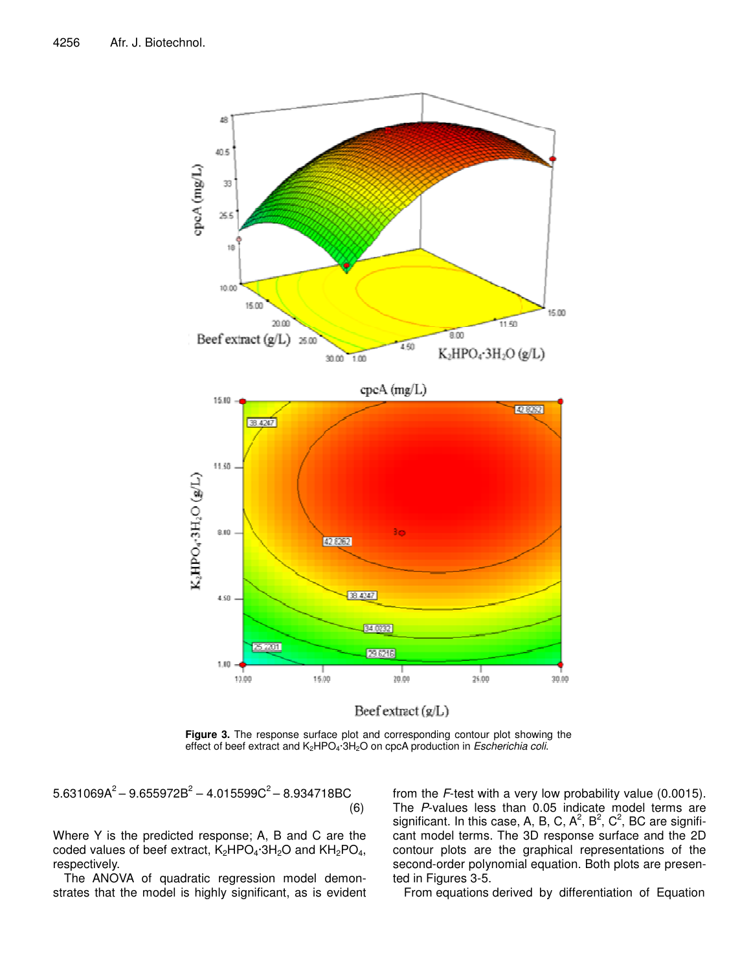

Beef extract (g/L)

**Figure 3.** The response surface plot and corresponding contour plot showing the effect of beef extract and K2HPO4·3H2O on cpcA production in *Escherichia coli*.

 $5.631069$ A $^2$   $9.655972$ B $^2$   $4.015599$ C $^2$   $8.934718$ BC (6)

Where Y is the predicted response; A, B and C are the coded values of beef extract,  $K_2HPO_4.3H_2O$  and  $KH_2PO_4$ , respectively.

The ANOVA of quadratic regression model demonstrates that the model is highly significant, as is evident from the *F*-test with a very low probability value (0.0015). The *P*-values less than 0.05 indicate model terms are significant. In this case, A, B, C,  $A^2$ ,  $B^2$ ,  $C^2$ , BC are significant model terms. The 3D response surface and the 2D contour plots are the graphical representations of the second-order polynomial equation. Both plots are presented in Figures 3-5.

From equations derived by differentiation of Equation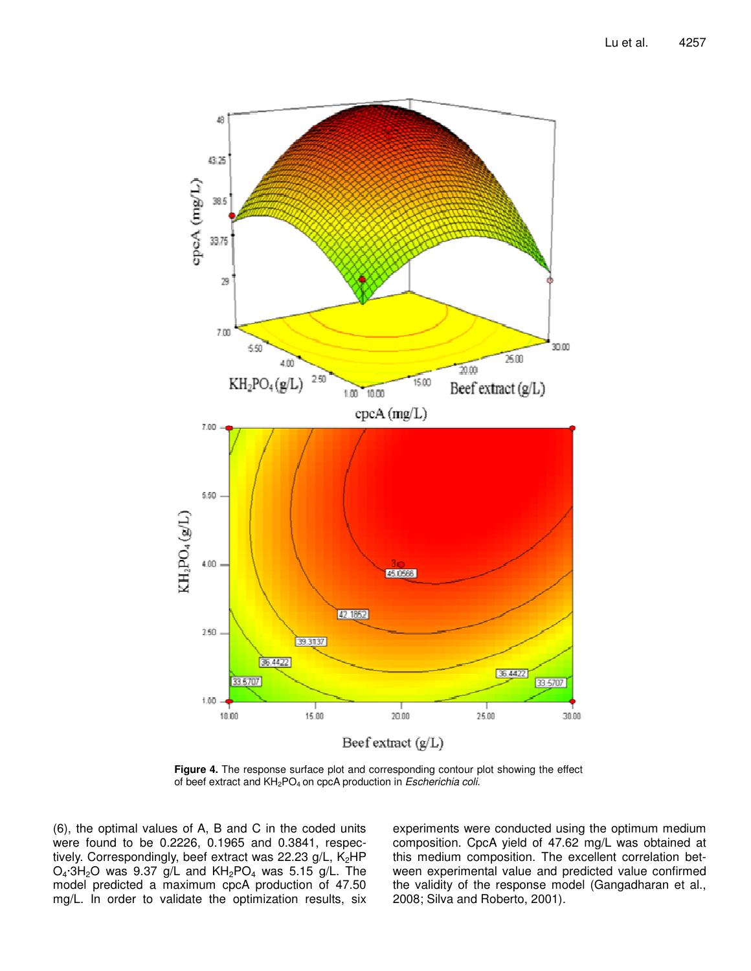

**Figure 4.** The response surface plot and corresponding contour plot showing the effect of beef extract and KH2PO<sup>4</sup> on cpcA production in *Escherichia coli*.

(6), the optimal values of A, B and C in the coded units were found to be 0.2226, 0.1965 and 0.3841, respectively. Correspondingly, beef extract was 22.23 g/L,  $K_2HP$  $O_4$ ·3H<sub>2</sub>O was 9.37 g/L and  $KH_2PO_4$  was 5.15 g/L. The model predicted a maximum cpcA production of 47.50 mg/L. In order to validate the optimization results, six experiments were conducted using the optimum medium composition. CpcA yield of 47.62 mg/L was obtained at this medium composition. The excellent correlation between experimental value and predicted value confirmed the validity of the response model (Gangadharan et al., 2008; Silva and Roberto, 2001).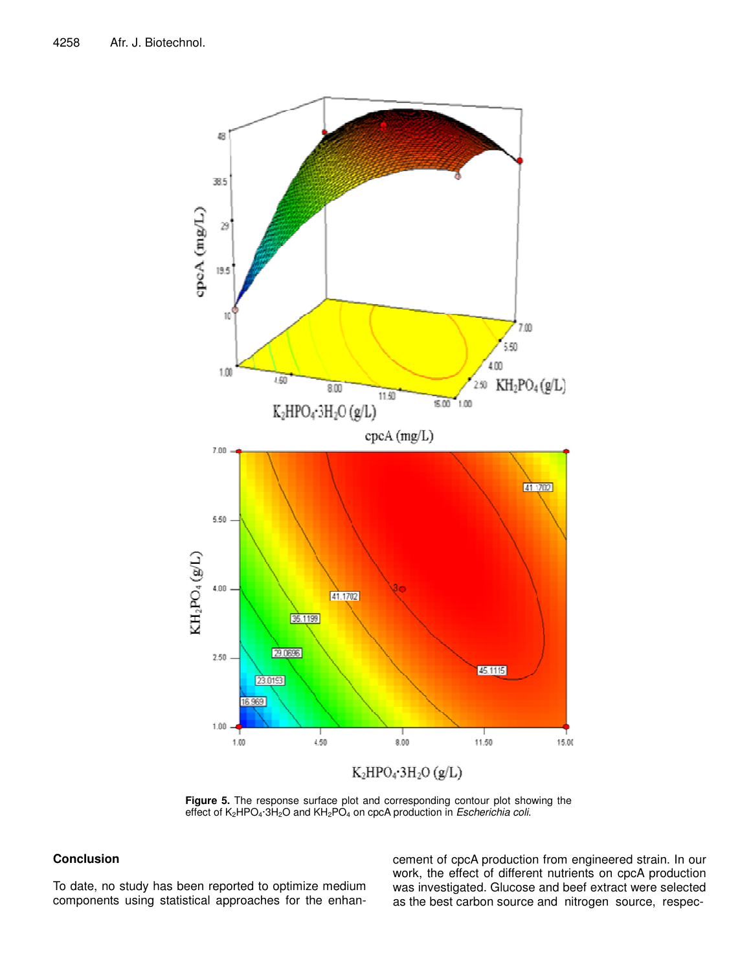

**Figure 5.** The response surface plot and corresponding contour plot showing the effect of K2HPO4·3H2O and KH2PO<sup>4</sup> on cpcA production in *Escherichia coli*.

# **Conclusion**

To date, no study has been reported to optimize medium components using statistical approaches for the enhancement of cpcA production from engineered strain. In our work, the effect of different nutrients on cpcA production was investigated. Glucose and beef extract were selected as the best carbon source and nitrogen source, respec